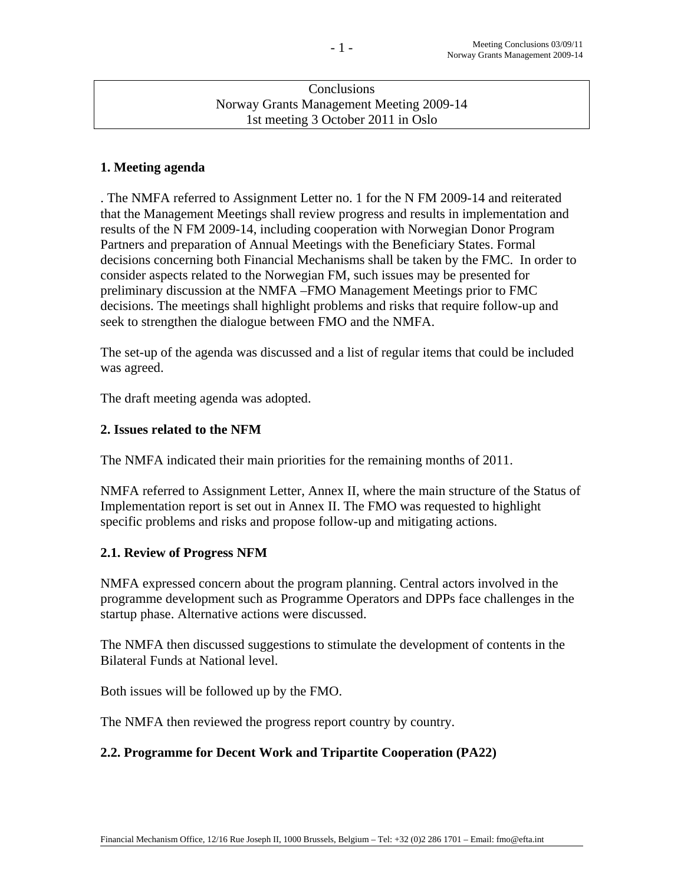### **Conclusions** Norway Grants Management Meeting 2009-14 1st meeting 3 October 2011 in Oslo

# **1. Meeting agenda**

. The NMFA referred to Assignment Letter no. 1 for the N FM 2009-14 and reiterated that the Management Meetings shall review progress and results in implementation and results of the N FM 2009-14, including cooperation with Norwegian Donor Program Partners and preparation of Annual Meetings with the Beneficiary States. Formal decisions concerning both Financial Mechanisms shall be taken by the FMC. In order to consider aspects related to the Norwegian FM, such issues may be presented for preliminary discussion at the NMFA –FMO Management Meetings prior to FMC decisions. The meetings shall highlight problems and risks that require follow-up and seek to strengthen the dialogue between FMO and the NMFA.

The set-up of the agenda was discussed and a list of regular items that could be included was agreed.

The draft meeting agenda was adopted.

### **2. Issues related to the NFM**

The NMFA indicated their main priorities for the remaining months of 2011.

NMFA referred to Assignment Letter, Annex II, where the main structure of the Status of Implementation report is set out in Annex II. The FMO was requested to highlight specific problems and risks and propose follow-up and mitigating actions.

## **2.1. Review of Progress NFM**

NMFA expressed concern about the program planning. Central actors involved in the programme development such as Programme Operators and DPPs face challenges in the startup phase. Alternative actions were discussed.

The NMFA then discussed suggestions to stimulate the development of contents in the Bilateral Funds at National level.

Both issues will be followed up by the FMO.

The NMFA then reviewed the progress report country by country.

## **2.2. Programme for Decent Work and Tripartite Cooperation (PA22)**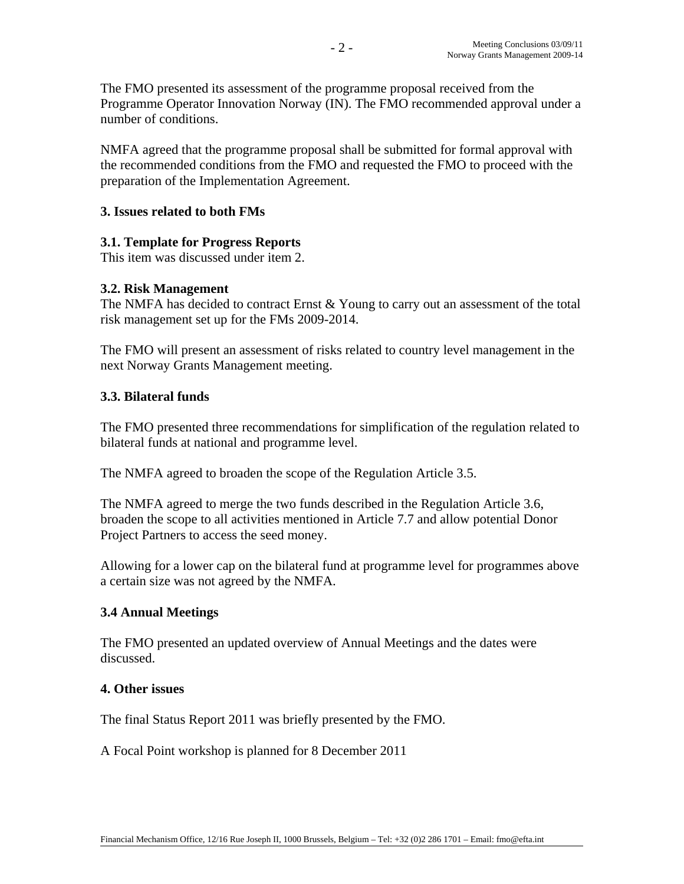The FMO presented its assessment of the programme proposal received from the Programme Operator Innovation Norway (IN). The FMO recommended approval under a number of conditions.

NMFA agreed that the programme proposal shall be submitted for formal approval with the recommended conditions from the FMO and requested the FMO to proceed with the preparation of the Implementation Agreement.

# **3. Issues related to both FMs**

# **3.1. Template for Progress Reports**

This item was discussed under item 2.

## **3.2. Risk Management**

The NMFA has decided to contract Ernst & Young to carry out an assessment of the total risk management set up for the FMs 2009-2014.

The FMO will present an assessment of risks related to country level management in the next Norway Grants Management meeting.

## **3.3. Bilateral funds**

The FMO presented three recommendations for simplification of the regulation related to bilateral funds at national and programme level.

The NMFA agreed to broaden the scope of the Regulation Article 3.5.

The NMFA agreed to merge the two funds described in the Regulation Article 3.6, broaden the scope to all activities mentioned in Article 7.7 and allow potential Donor Project Partners to access the seed money.

Allowing for a lower cap on the bilateral fund at programme level for programmes above a certain size was not agreed by the NMFA.

## **3.4 Annual Meetings**

The FMO presented an updated overview of Annual Meetings and the dates were discussed.

#### **4. Other issues**

The final Status Report 2011 was briefly presented by the FMO.

A Focal Point workshop is planned for 8 December 2011